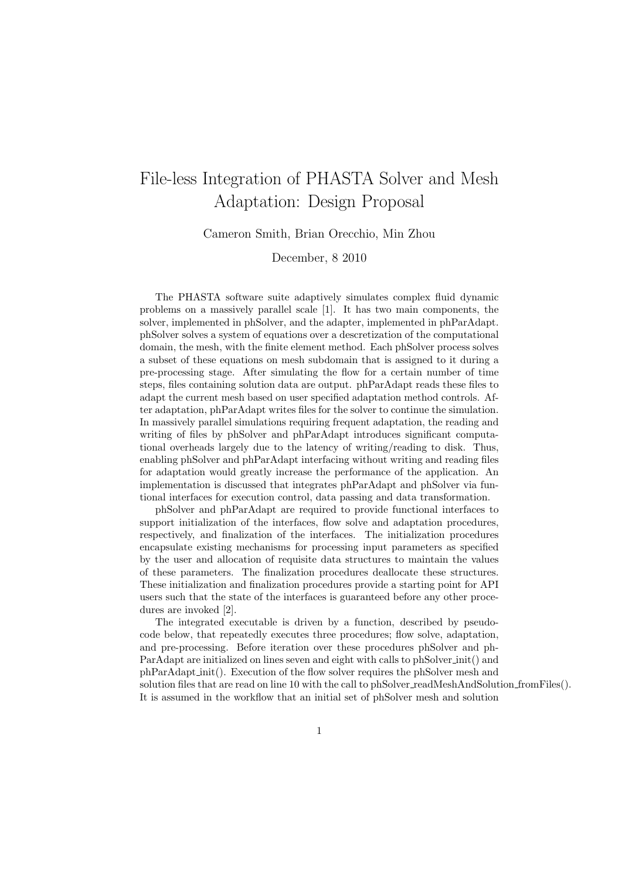## File-less Integration of PHASTA Solver and Mesh Adaptation: Design Proposal

Cameron Smith, Brian Orecchio, Min Zhou

December, 8 2010

The PHASTA software suite adaptively simulates complex fluid dynamic problems on a massively parallel scale [1]. It has two main components, the solver, implemented in phSolver, and the adapter, implemented in phParAdapt. phSolver solves a system of equations over a descretization of the computational domain, the mesh, with the finite element method. Each phSolver process solves a subset of these equations on mesh subdomain that is assigned to it during a pre-processing stage. After simulating the flow for a certain number of time steps, files containing solution data are output. phParAdapt reads these files to adapt the current mesh based on user specified adaptation method controls. After adaptation, phParAdapt writes files for the solver to continue the simulation. In massively parallel simulations requiring frequent adaptation, the reading and writing of files by phSolver and phParAdapt introduces significant computational overheads largely due to the latency of writing/reading to disk. Thus, enabling phSolver and phParAdapt interfacing without writing and reading files for adaptation would greatly increase the performance of the application. An implementation is discussed that integrates phParAdapt and phSolver via funtional interfaces for execution control, data passing and data transformation.

phSolver and phParAdapt are required to provide functional interfaces to support initialization of the interfaces, flow solve and adaptation procedures, respectively, and finalization of the interfaces. The initialization procedures encapsulate existing mechanisms for processing input parameters as specified by the user and allocation of requisite data structures to maintain the values of these parameters. The finalization procedures deallocate these structures. These initialization and finalization procedures provide a starting point for API users such that the state of the interfaces is guaranteed before any other procedures are invoked [2].

The integrated executable is driven by a function, described by pseudocode below, that repeatedly executes three procedures; flow solve, adaptation, and pre-processing. Before iteration over these procedures phSolver and ph-ParAdapt are initialized on lines seven and eight with calls to phSolver init() and phParAdapt init(). Execution of the flow solver requires the phSolver mesh and solution files that are read on line 10 with the call to phSolver\_readMeshAndSolution\_fromFiles(). It is assumed in the workflow that an initial set of phSolver mesh and solution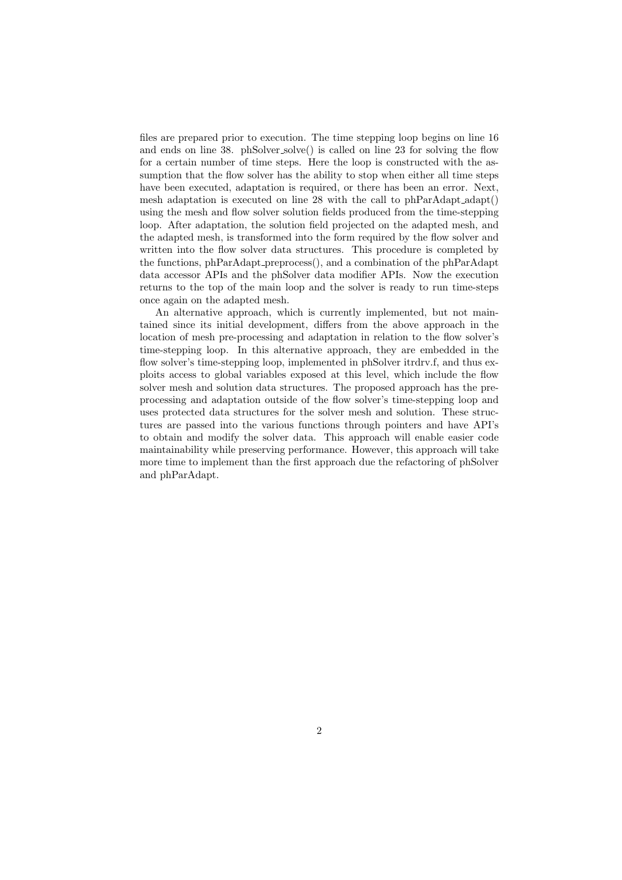files are prepared prior to execution. The time stepping loop begins on line 16 and ends on line 38. phSolver solve() is called on line 23 for solving the flow for a certain number of time steps. Here the loop is constructed with the assumption that the flow solver has the ability to stop when either all time steps have been executed, adaptation is required, or there has been an error. Next, mesh adaptation is executed on line 28 with the call to phParAdapt\_adapt() using the mesh and flow solver solution fields produced from the time-stepping loop. After adaptation, the solution field projected on the adapted mesh, and the adapted mesh, is transformed into the form required by the flow solver and written into the flow solver data structures. This procedure is completed by the functions, phParAdapt preprocess(), and a combination of the phParAdapt data accessor APIs and the phSolver data modifier APIs. Now the execution returns to the top of the main loop and the solver is ready to run time-steps once again on the adapted mesh.

An alternative approach, which is currently implemented, but not maintained since its initial development, differs from the above approach in the location of mesh pre-processing and adaptation in relation to the flow solver's time-stepping loop. In this alternative approach, they are embedded in the flow solver's time-stepping loop, implemented in phSolver itrdrv.f, and thus exploits access to global variables exposed at this level, which include the flow solver mesh and solution data structures. The proposed approach has the preprocessing and adaptation outside of the flow solver's time-stepping loop and uses protected data structures for the solver mesh and solution. These structures are passed into the various functions through pointers and have API's to obtain and modify the solver data. This approach will enable easier code maintainability while preserving performance. However, this approach will take more time to implement than the first approach due the refactoring of phSolver and phParAdapt.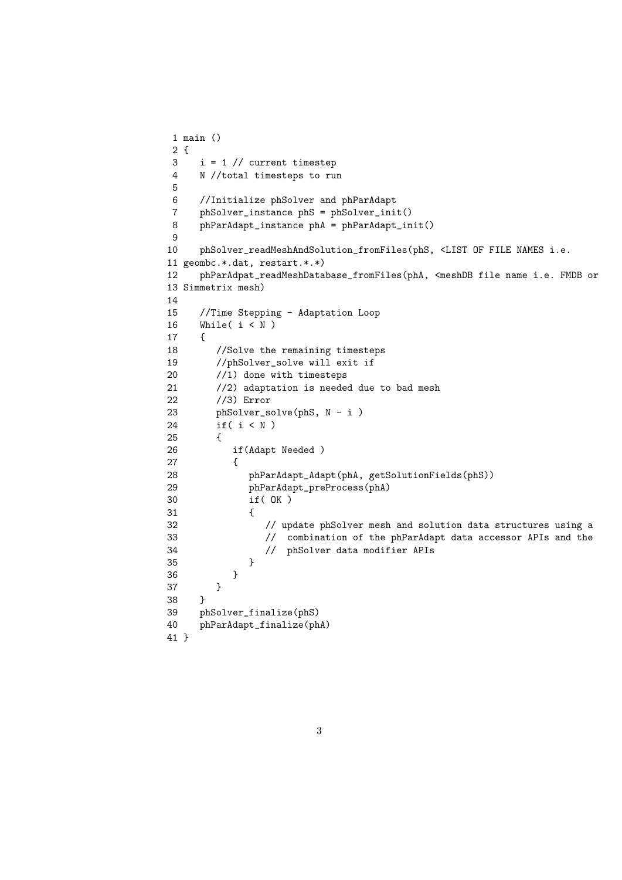```
1 main ()
2 {
3 i = 1 // current timestep
4 N //total timesteps to run
5
6 //Initialize phSolver and phParAdapt
    7 phSolver_instance phS = phSolver_init()
8 phParAdapt_instance phA = phParAdapt_init()
9
10 phSolver_readMeshAndSolution_fromFiles(phS, <LIST OF FILE NAMES i.e.
11 geombc.*.dat, restart.*.*)
12 phParAdpat_readMeshDatabase_fromFiles(phA, <meshDB file name i.e. FMDB or
13 Simmetrix mesh)
14
15 //Time Stepping - Adaptation Loop
16 While(i < N)
17 {
18 //Solve the remaining timesteps
19 //phSolver_solve will exit if
20 //1) done with timesteps
21 //2) adaptation is needed due to bad mesh
22 //3) Error
23 phSolver_solve(phS, N - i )
24 if( i < N )
25 {
26 if(Adapt Needed )
27 {
28 phParAdapt_Adapt(phA, getSolutionFields(phS))
29 phParAdapt_preProcess(phA)
30 if( OK )
31 {
32 // update phSolver mesh and solution data structures using a
33 // combination of the phParAdapt data accessor APIs and the
34 // phSolver data modifier APIs
35 }
36 }
37 }
38 }
39 phSolver_finalize(phS)
40 phParAdapt_finalize(phA)
41 }
```